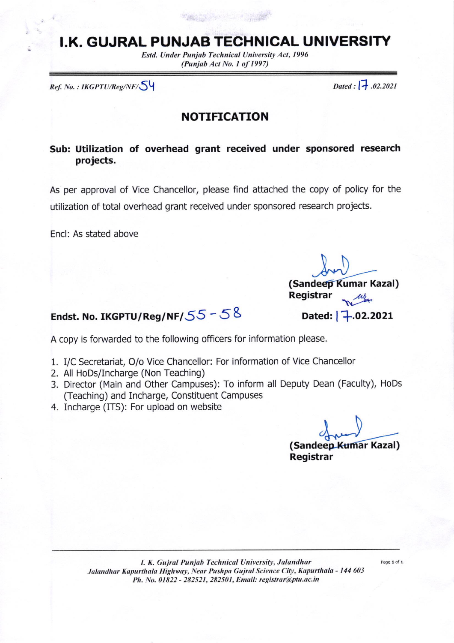# I.K. GUJRAL PUNJAB TECHNICAL UNIVERSITY

Estd. Under Punjab Technical University Act, 1996 (Punjub Act No. I of 1997)

 $Ref. No.: IKGPTU/Reg/NF/\bigotimes^{\text{L}}$ 

## NOTIFICATION

## Sub: Utilization of overhead grant received under sponsored research projects,

As per approval of Vice Chancellor, please find attached the copy of policy for the utilization of total overhead grant received under sponsored research projects.

Encl: As stated above

(Sandeep Kumar Kazal) Registrar Dated:  $7.02.2021$ 

# Endst. No. IKGPTU/Reg/NF/ $55 - 58$

A copy is forwarded to the following officers for information please.

- 1. I/C Secretariat, O/o Vice Chancellor: For information of Vice Chancellor
- 2. All HoDs/Incharge (Non Teaching)
- 3. Director (Main and Other Campuses): To inform all Deputy Dean (Faculty), HoDs (Teaching) and Incharge, Constituent Campuses
- 4. Incharge (ITS): For upload on website

(Sandeep Kumar Kazal) Registrar

I. K. Gujral Punjab Technical University, Jalandhar Jalandhar Kapurthala Highway, Near Pushpa Gujral Science City, Kapurthala - 144 603 Ph. No. 01822 - 282521, 282501, Email: registrar@ptu.ac.in

Page 1 of 1